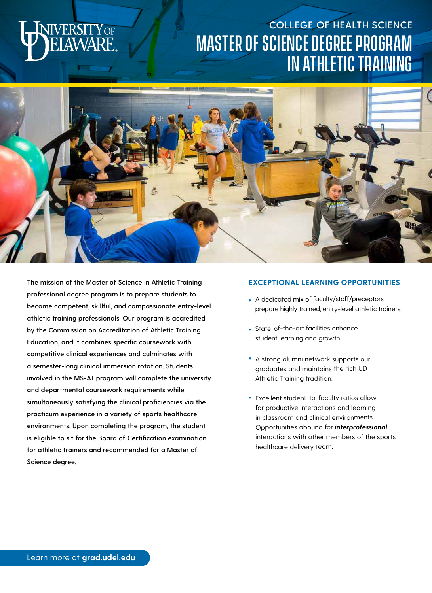# **FRSITY** OF

## **COLLEGE OF HEALTH SCIENCE** Master of Science degree program in Athletic Training



**The mission of the Master of Science in Athletic Training professional degree program is to prepare students to become competent, skillful, and compassionate entry-level athletic training professionals. Our program is accredited by the Commission on Accreditation of Athletic Training Education, and it combines specific coursework with competitive clinical experiences and culminates with a semester-long clinical immersion rotation. Students involved in the MS-AT program will complete the university and departmental coursework requirements while simultaneously satisfying the clinical proficiencies via the practicum experience in a variety of sports healthcare environments. Upon completing the program, the student is eligible to sit for the Board of Certification examination for athletic trainers and recommended for a Master of Science degree.** 

#### **EXCEPTIONAL LEARNING OPPORTUNITIES**

- A dedicated mix of faculty/staff/preceptors prepare highly trained, entry-level athletic trainers.
- State-of-the-art facilities enhance student learning and growth.
- A strong alumni network supports our graduates and maintains the rich UD Athletic Training tradition.
- Excellent student-to-faculty ratios allow for productive interactions and learning in classroom and clinical environments. Opportunities abound for *interprofessional* interactions with other members of the sports healthcare delivery team.